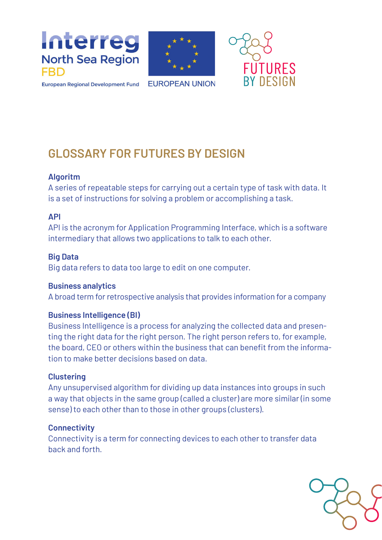





**European Regional Development Fund** 

**EUROPEAN UNION** 

# **GLOSSARY FOR FUTURES BY DESIGN**

# **Algoritm**

A series of repeatable steps for carrying out a certain type of task with data. It is a set of instructions for solving a problem or accomplishing a task.

# **API**

API is the acronym for Application Programming Interface, which is a software intermediary that allows two applications to talk to each other.

# **Big Data**

Big data refers to data too large to edit on one computer.

# **Business analytics**

A broad term for retrospective analysis that provides information for a company

# **Business Intelligence (BI)**

Business Intelligence is a process for analyzing the collected data and presenting the right data for the right person. The right person refers to, for example, the board, CEO or others within the business that can benefit from the information to make better decisions based on data.

# **Clustering**

Any unsupervised algorithm for dividing up data instances into groups in such a way that objects in the same group (called a cluster) are more similar (in some sense) to each other than to those in other groups (clusters).

# **Connectivity**

Connectivity is a term for connecting devices to each other to transfer data back and forth.

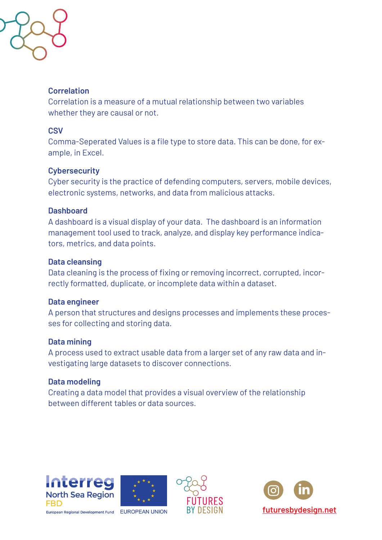

## **Correlation**

Correlation is a measure of a mutual relationship between two variables whether they are causal or not.

## **CSV**

Comma-Seperated Values is a file type to store data. This can be done, for example, in Excel.

## **Cybersecurity**

Cyber security is the practice of defending computers, servers, mobile devices, electronic systems, networks, and data from malicious attacks.

## **Dashboard**

A dashboard is a visual display of your data. The dashboard is an information management tool used to track, analyze, and display key performance indicators, metrics, and data points.

#### **Data cleansing**

Data cleaning is the process of fixing or removing incorrect, corrupted, incorrectly formatted, duplicate, or incomplete data within a dataset.

#### **Data engineer**

A person that structures and designs processes and implements these processes for collecting and storing data.

#### **Data mining**

A process used to extract usable data from a larger set of any raw data and investigating large datasets to discover connections.

#### **Data modeling**

Creating a data model that provides a visual overview of the relationship between different tables or data sources.







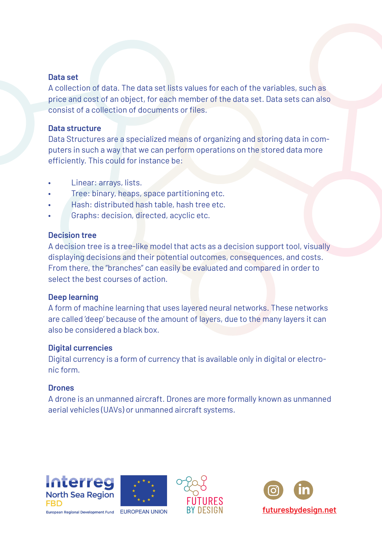#### **Data set**

A collection of data. The data set lists values for each of the variables, such as price and cost of an object, for each member of the data set. Data sets can also consist of a collection of documents or files.

#### **Data structure**

Data Structures are a specialized means of organizing and storing data in computers in such a way that we can perform operations on the stored data more efficiently. This could for instance be:

- Linear: arrays, lists.
- Tree: binary, heaps, space partitioning etc.
- Hash: distributed hash table, hash tree etc.
- Graphs: decision, directed, acyclic etc.

## **Decision tree**

A decision tree is a tree-like model that acts as a decision support tool, visually displaying decisions and their potential outcomes, consequences, and costs. From there, the "branches" can easily be evaluated and compared in order to select the best courses of action.

#### **Deep learning**

A form of machine learning that uses layered neural networks. These networks are called 'deep' because of the amount of layers, due to the many layers it can also be considered a black box.

#### **Digital currencies**

Digital currency is a form of currency that is available only in digital or electronic form.

#### **Drones**

A drone is an unmanned aircraft. Drones are more formally known as unmanned aerial vehicles (UAVs) or unmanned aircraft systems.